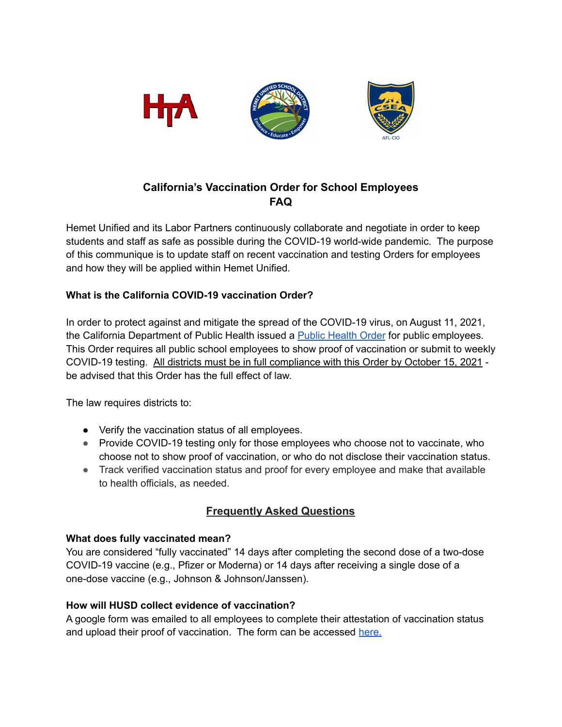

# **California's Vaccination Order for School Employees FAQ**

Hemet Unified and its Labor Partners continuously collaborate and negotiate in order to keep students and staff as safe as possible during the COVID-19 world-wide pandemic. The purpose of this communique is to update staff on recent vaccination and testing Orders for employees and how they will be applied within Hemet Unified.

## **What is the California COVID-19 vaccination Order?**

In order to protect against and mitigate the spread of the COVID-19 virus, on August 11, 2021, the California Department of Public [Health](https://www.cdph.ca.gov/Programs/CID/DCDC/Pages/COVID-19/Order-of-the-State-Public-Health-Officer-Vaccine-Verification-for-Workers-in-Schools.aspx) issued a **Public Health Order** for public employees. This Order requires all public school employees to show proof of vaccination or submit to weekly COVID-19 testing. All districts must be in full compliance with this Order by October 15, 2021 be advised that this Order has the full effect of law.

The law requires districts to:

- Verify the vaccination status of all employees.
- Provide COVID-19 testing only for those employees who choose not to vaccinate, who choose not to show proof of vaccination, or who do not disclose their vaccination status.
- Track verified vaccination status and proof for every employee and make that available to health officials, as needed.

# **Frequently Asked Questions**

## **What does fully vaccinated mean?**

You are considered "fully vaccinated" 14 days after completing the second dose of a two-dose COVID-19 vaccine (e.g., Pfizer or Moderna) or 14 days after receiving a single dose of a one-dose vaccine (e.g., Johnson & Johnson/Janssen).

## **How will HUSD collect evidence of vaccination?**

A google form was emailed to all employees to complete their attestation of vaccination status and upload their proof of vaccination. The form can be accessed [here.](https://docs.google.com/forms/d/e/1FAIpQLSeELCSkahp1m18WDo_hF1gXYeHg7J9u6VuMsVmbRhkKWONMyw/viewform?usp=sf_link)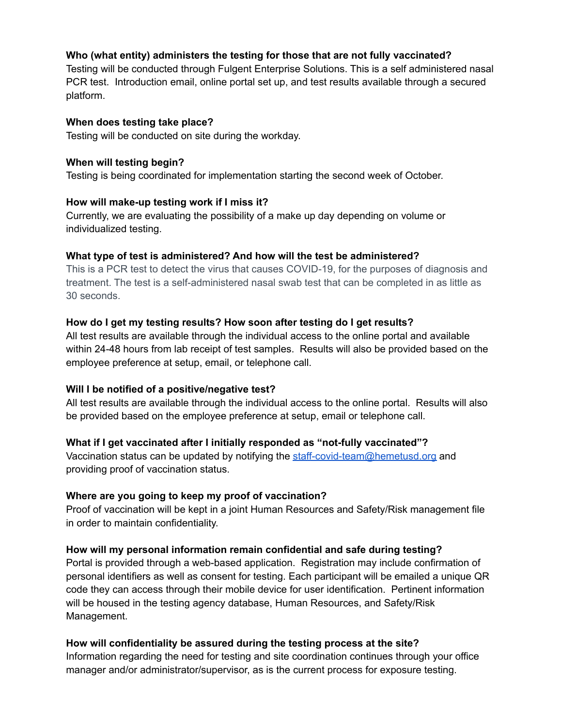## **Who (what entity) administers the testing for those that are not fully vaccinated?**

Testing will be conducted through Fulgent Enterprise Solutions. This is a self administered nasal PCR test. Introduction email, online portal set up, and test results available through a secured platform.

#### **When does testing take place?**

Testing will be conducted on site during the workday.

#### **When will testing begin?**

Testing is being coordinated for implementation starting the second week of October.

#### **How will make-up testing work if I miss it?**

Currently, we are evaluating the possibility of a make up day depending on volume or individualized testing.

#### **What type of test is administered? And how will the test be administered?**

This is a PCR test to detect the virus that causes COVID-19, for the purposes of diagnosis and treatment. The test is a self-administered nasal swab test that can be completed in as little as 30 seconds.

#### **How do I get my testing results? How soon after testing do I get results?**

All test results are available through the individual access to the online portal and available within 24-48 hours from lab receipt of test samples. Results will also be provided based on the employee preference at setup, email, or telephone call.

## **Will I be notified of a positive/negative test?**

All test results are available through the individual access to the online portal. Results will also be provided based on the employee preference at setup, email or telephone call.

## **What if I get vaccinated after I initially responded as "not-fully vaccinated"?**

Vaccination status can be updated by notifying the [staff-covid-team@hemetusd.org](mailto:staff-covid-team@hemetusd.org) and providing proof of vaccination status.

## **Where are you going to keep my proof of vaccination?**

Proof of vaccination will be kept in a joint Human Resources and Safety/Risk management file in order to maintain confidentiality.

## **How will my personal information remain confidential and safe during testing?**

Portal is provided through a web-based application. Registration may include confirmation of personal identifiers as well as consent for testing. Each participant will be emailed a unique QR code they can access through their mobile device for user identification. Pertinent information will be housed in the testing agency database, Human Resources, and Safety/Risk Management.

## **How will confidentiality be assured during the testing process at the site?**

Information regarding the need for testing and site coordination continues through your office manager and/or administrator/supervisor, as is the current process for exposure testing.